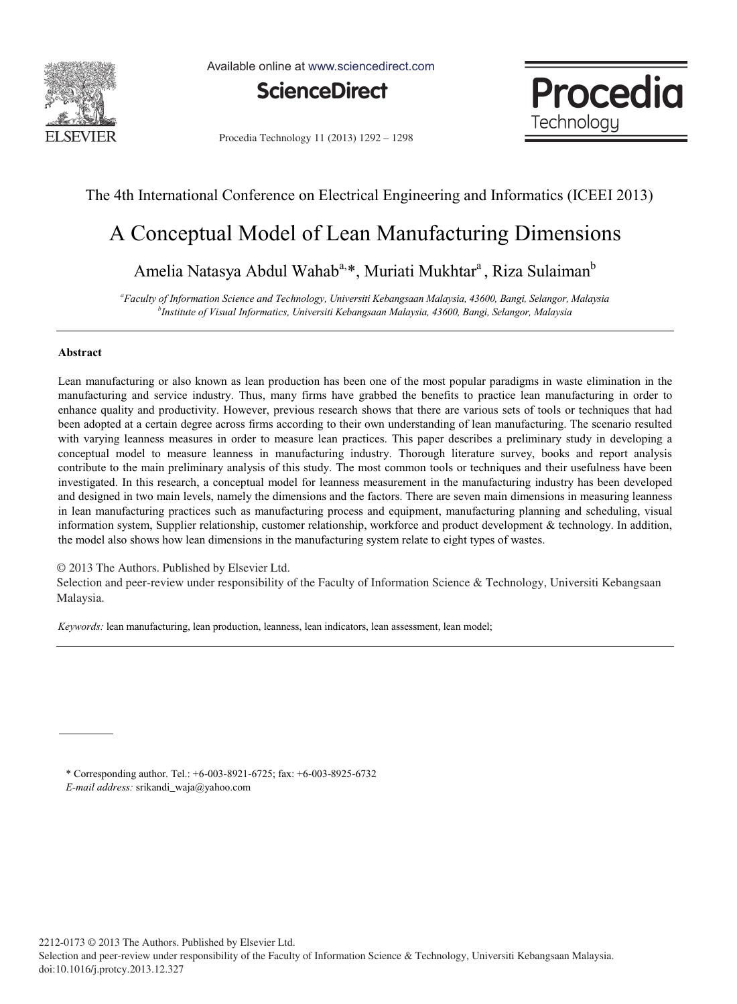

Available online at www.sciencedirect.com



Procedia Technology 11 (2013) 1292 - 1298



## The 4th International Conference on Electrical Engineering and Informatics (ICEEI 2013)

## A Conceptual Model of Lean Manufacturing Dimensions

Amelia Natasya Abdul Wahab<sup>a, \*</sup>, Muriati Mukhtar<sup>a</sup>, Riza Sulaiman<sup>b</sup>

*a Faculty of Information Science and Technology, Universiti Kebangsaan Malaysia, 43600, Bangi, Selangor, Malaysia b Institute of Visual Informatics, Universiti Kebangsaan Malaysia, 43600, Bangi, Selangor, Malaysia*

### **Abstract**

Lean manufacturing or also known as lean production has been one of the most popular paradigms in waste elimination in the manufacturing and service industry. Thus, many firms have grabbed the benefits to practice lean manufacturing in order to enhance quality and productivity. However, previous research shows that there are various sets of tools or techniques that had been adopted at a certain degree across firms according to their own understanding of lean manufacturing. The scenario resulted with varying leanness measures in order to measure lean practices. This paper describes a preliminary study in developing a conceptual model to measure leanness in manufacturing industry. Thorough literature survey, books and report analysis contribute to the main preliminary analysis of this study. The most common tools or techniques and their usefulness have been investigated. In this research, a conceptual model for leanness measurement in the manufacturing industry has been developed and designed in two main levels, namely the dimensions and the factors. There are seven main dimensions in measuring leanness in lean manufacturing practices such as manufacturing process and equipment, manufacturing planning and scheduling, visual information system, Supplier relationship, customer relationship, workforce and product development & technology. In addition, the model also shows how lean dimensions in the manufacturing system relate to eight types of wastes.

© 2013 The Authors. Published by Elsevier Ltd.

Selection and peer-review under responsibility of the Faculty of Information Science & Technology, Universiti Kebangsaan Malaysia. Malaysia.

*Keywords:* lean manufacturing, lean production, leanness, lean indicators, lean assessment, lean model;

\* Corresponding author. Tel.: +6-003-8921-6725; fax: +6-003-8925-6732 *E-mail address:* srikandi\_waja@yahoo.com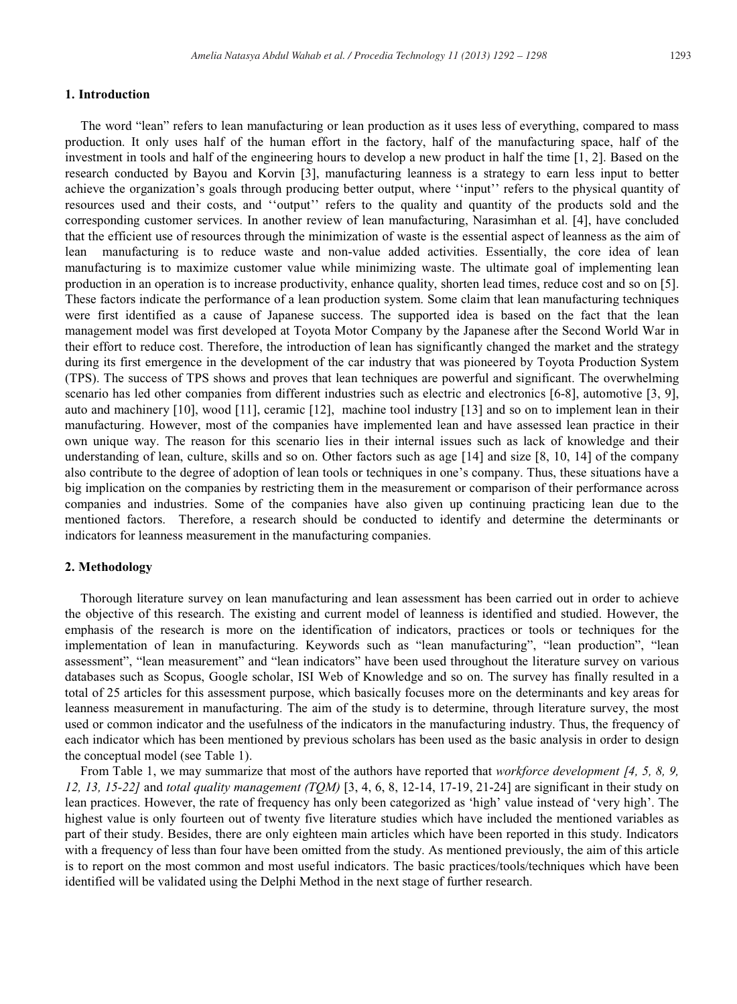### **1. Introduction**

The word "lean" refers to lean manufacturing or lean production as it uses less of everything, compared to mass production. It only uses half of the human effort in the factory, half of the manufacturing space, half of the investment in tools and half of the engineering hours to develop a new product in half the time [1, 2]. Based on the research conducted by Bayou and Korvin [3], manufacturing leanness is a strategy to earn less input to better achieve the organization's goals through producing better output, where ''input'' refers to the physical quantity of resources used and their costs, and ''output'' refers to the quality and quantity of the products sold and the corresponding customer services. In another review of lean manufacturing, Narasimhan et al. [4], have concluded that the efficient use of resources through the minimization of waste is the essential aspect of leanness as the aim of lean manufacturing is to reduce waste and non-value added activities. Essentially, the core idea of lean manufacturing is to maximize customer value while minimizing waste. The ultimate goal of implementing lean production in an operation is to increase productivity, enhance quality, shorten lead times, reduce cost and so on [5]. These factors indicate the performance of a lean production system. Some claim that lean manufacturing techniques were first identified as a cause of Japanese success. The supported idea is based on the fact that the lean management model was first developed at Toyota Motor Company by the Japanese after the Second World War in their effort to reduce cost. Therefore, the introduction of lean has significantly changed the market and the strategy during its first emergence in the development of the car industry that was pioneered by Toyota Production System (TPS). The success of TPS shows and proves that lean techniques are powerful and significant. The overwhelming scenario has led other companies from different industries such as electric and electronics [6-8], automotive [3, 9], auto and machinery [10], wood [11], ceramic [12], machine tool industry [13] and so on to implement lean in their manufacturing. However, most of the companies have implemented lean and have assessed lean practice in their own unique way. The reason for this scenario lies in their internal issues such as lack of knowledge and their understanding of lean, culture, skills and so on. Other factors such as age [14] and size [8, 10, 14] of the company also contribute to the degree of adoption of lean tools or techniques in one's company. Thus, these situations have a big implication on the companies by restricting them in the measurement or comparison of their performance across companies and industries. Some of the companies have also given up continuing practicing lean due to the mentioned factors. Therefore, a research should be conducted to identify and determine the determinants or indicators for leanness measurement in the manufacturing companies.

### **2. Methodology**

Thorough literature survey on lean manufacturing and lean assessment has been carried out in order to achieve the objective of this research. The existing and current model of leanness is identified and studied. However, the emphasis of the research is more on the identification of indicators, practices or tools or techniques for the implementation of lean in manufacturing. Keywords such as "lean manufacturing", "lean production", "lean assessment", "lean measurement" and "lean indicators" have been used throughout the literature survey on various databases such as Scopus, Google scholar, ISI Web of Knowledge and so on. The survey has finally resulted in a total of 25 articles for this assessment purpose, which basically focuses more on the determinants and key areas for leanness measurement in manufacturing. The aim of the study is to determine, through literature survey, the most used or common indicator and the usefulness of the indicators in the manufacturing industry. Thus, the frequency of each indicator which has been mentioned by previous scholars has been used as the basic analysis in order to design the conceptual model (see Table 1).

From Table 1, we may summarize that most of the authors have reported that *workforce development [4, 5, 8, 9, 12, 13, 15-22]* and *total quality management (TQM)* [3, 4, 6, 8, 12-14, 17-19, 21-24] are significant in their study on lean practices. However, the rate of frequency has only been categorized as 'high' value instead of 'very high'. The highest value is only fourteen out of twenty five literature studies which have included the mentioned variables as part of their study. Besides, there are only eighteen main articles which have been reported in this study. Indicators with a frequency of less than four have been omitted from the study. As mentioned previously, the aim of this article is to report on the most common and most useful indicators. The basic practices/tools/techniques which have been identified will be validated using the Delphi Method in the next stage of further research.